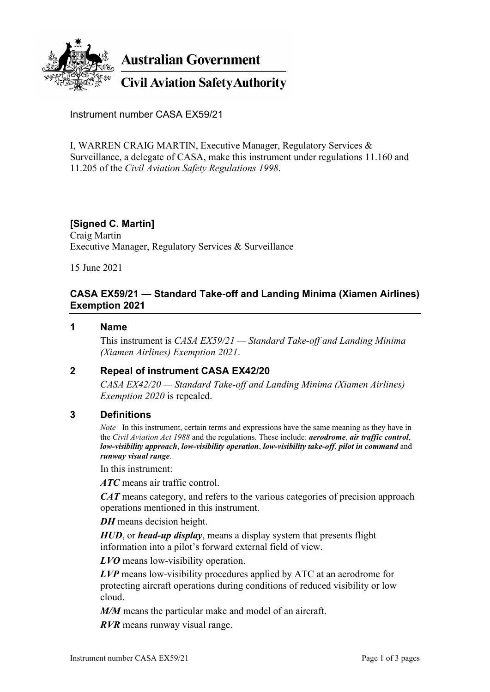

**Australian Government** 

**Civil Aviation Safety Authority** 

Instrument number CASA EX59/21

I, WARREN CRAIG MARTIN, Executive Manager, Regulatory Services & Surveillance, a delegate of CASA, make this instrument under regulations 11.160 and 11.205 of the *Civil Aviation Safety Regulations 1998*.

# **[Signed C. Martin]**

Craig Martin Executive Manager, Regulatory Services & Surveillance

15 June 2021

# **CASA EX59/21 — Standard Take-off and Landing Minima (Xiamen Airlines) Exemption 2021**

### **1 Name**

This instrument is *CASA EX59/21 — Standard Take-off and Landing Minima (Xiamen Airlines) Exemption 2021*.

### **2 Repeal of instrument CASA EX42/20**

*CASA EX42/20 — Standard Take-off and Landing Minima (Xiamen Airlines) Exemption 2020* is repealed.

### **3 Definitions**

*Note* In this instrument, certain terms and expressions have the same meaning as they have in the *Civil Aviation Act 1988* and the regulations. These include: *aerodrome*, *air traffic control*, *low-visibility approach*, *low-visibility operation*, *low-visibility take-off*, *pilot in command* and *runway visual range*.

In this instrument:

*ATC* means air traffic control.

*CAT* means category, and refers to the various categories of precision approach operations mentioned in this instrument.

*DH* means decision height.

*HUD*, or *head-up display*, means a display system that presents flight information into a pilot's forward external field of view.

*LVO* means low-visibility operation.

*LVP* means low-visibility procedures applied by ATC at an aerodrome for protecting aircraft operations during conditions of reduced visibility or low cloud.

*M/M* means the particular make and model of an aircraft.

*RVR* means runway visual range.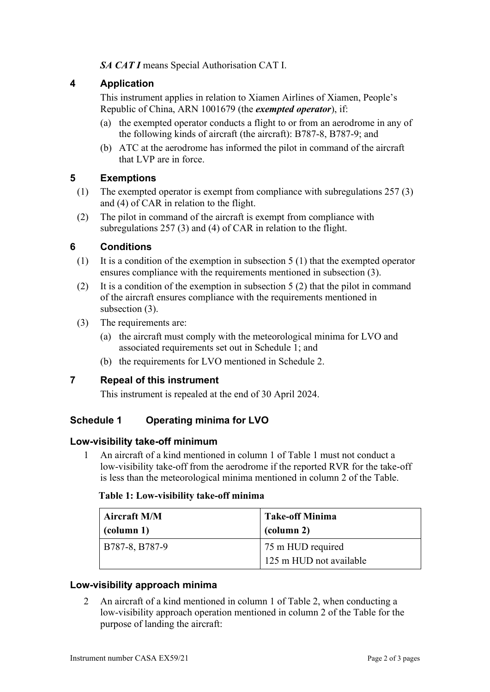*SA CAT I* means Special Authorisation CAT I.

# **4 Application**

This instrument applies in relation to Xiamen Airlines of Xiamen, People's Republic of China, ARN 1001679 (the *exempted operator*), if:

- (a) the exempted operator conducts a flight to or from an aerodrome in any of the following kinds of aircraft (the aircraft): B787-8, B787-9; and
- (b) ATC at the aerodrome has informed the pilot in command of the aircraft that LVP are in force.

# **5 Exemptions**

- (1) The exempted operator is exempt from compliance with subregulations 257 (3) and (4) of CAR in relation to the flight.
- (2) The pilot in command of the aircraft is exempt from compliance with subregulations 257 (3) and (4) of CAR in relation to the flight.

### **6 Conditions**

- (1) It is a condition of the exemption in subsection 5 (1) that the exempted operator ensures compliance with the requirements mentioned in subsection (3).
- (2) It is a condition of the exemption in subsection 5 (2) that the pilot in command of the aircraft ensures compliance with the requirements mentioned in subsection (3).
- (3) The requirements are:
	- (a) the aircraft must comply with the meteorological minima for LVO and associated requirements set out in Schedule 1; and
	- (b) the requirements for LVO mentioned in Schedule 2.

### **7 Repeal of this instrument**

This instrument is repealed at the end of 30 April 2024.

# **Schedule 1 Operating minima for LVO**

### **Low-visibility take-off minimum**

1 An aircraft of a kind mentioned in column 1 of Table 1 must not conduct a low-visibility take-off from the aerodrome if the reported RVR for the take-off is less than the meteorological minima mentioned in column 2 of the Table.

#### **Table 1: Low-visibility take-off minima**

| <b>Aircraft M/M</b> | <b>Take-off Minima</b>                       |  |
|---------------------|----------------------------------------------|--|
| (column 1)          | (column 2)                                   |  |
| $ $ B787-8, B787-9  | 75 m HUD required<br>125 m HUD not available |  |

### **Low-visibility approach minima**

2 An aircraft of a kind mentioned in column 1 of Table 2, when conducting a low-visibility approach operation mentioned in column 2 of the Table for the purpose of landing the aircraft: